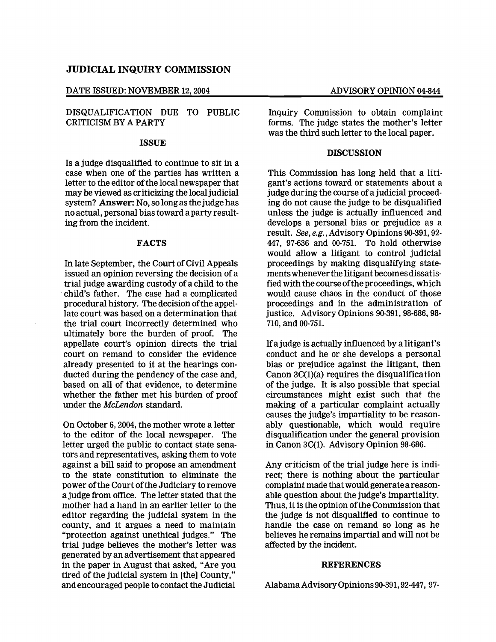## JUDICIAL INQUIRY COMMISSION

### DATE ISSUED: NOVEMBER 12, 2004 ADVISORY OPINION 04-844

# DISQUALIFICATION DUE TO PUBLIC CRITICISM BY A PARTY

#### ISSUE

Is a judge disqualified to continue to sit in a case when one of the parties has written a letter to the editor of the local newspaper that may be viewed as criticizing the local judicial system? Answer: No, so long as the judge has no actual, personal bias toward a party resulting from the incident.

## FACTS

In late September, the Court of Civil Appeals issued an opinion reversing the decision of a trial judge awarding custody of a child to the . child's father. The case had a complicated procedural history. The decision ofthe appellate court was based on a determination that the trial court incorrectly determined who ultimately bore the burden of proof. The appellate court's opinion directs the trial court on remand to consider the evidence already presented to it at the hearings conducted during the pendency of the case and, based on all of that evidence, to determine whether the father met his burden of proof under the McLendon standard.

On October 6, 2004, the mother wrote a letter to the editor of the local newspaper. The letter urged the public to contact state senators and representatives, asking them to vote against a bill said to propose an amendment to the state constitution to eliminate the power of the Court of the Judiciary to remove a judge from office. The letter stated that the mother had a hand in an earlier letter to the editor regarding the judicial system in the county, and it argues a need to maintain "protection against unethical judges." The trial judge believes the mother's letter was generated by an advertisement that appeared in the paper in August that asked, "Are you tired of the judicial system in [the] County," and encouraged people to contact the Judicial

Inquiry Commission to obtain complaint forms. The judge states the mother's letter was the third such letter to the local paper.

## **DISCUSSION**

This Commission has long held that a litigant's actions toward or statements about a judge during the course of a judicial proceeding do not cause the judge to be disqualified unless the judge is actually influenced and develops a personal bias or prejudice as a result. *See, e.g.*, Advisory Opinions 90-391, 92-447, 97-636 and 00-751. To hold otherwise would allow a litigant to control judicial proceedings by making disqualifying statementswheneverthe litigant becomesdissatisfied with the course ofthe proceedings, which would cause chaos in the conduct of those proceedings and in the administration of justice. Advisory Opinions 90-391, 98-686, 98 710, and 00-751.

Ifajudge is actually influenced by a litigant's conduct and he or she develops a personal bias or prejudice against the litigant, then Canon 3C(1)(a) requires the disqualification of the judge. It is also possible that special circumstances might exist such that the making of a particular complaint actually causes the judge's impartiality to be reasonably questionable, which would require disqualification under the general provision in Canon 3C(1). Advisory Opinion 98-686.

Any criticism of the trial judge here is indirect; there is nothing about the particular complaint made that would generate a reasonable question about the judge's impartiality. Thus, it is the opinion of the Commission that the judge is not disqualified to continue to handle the case on remand so long as he believes he remains impartial and will not be affected by the incident.

#### REFERENCES

AlabamaAdvisoryOpinions90-391,92-447, 97